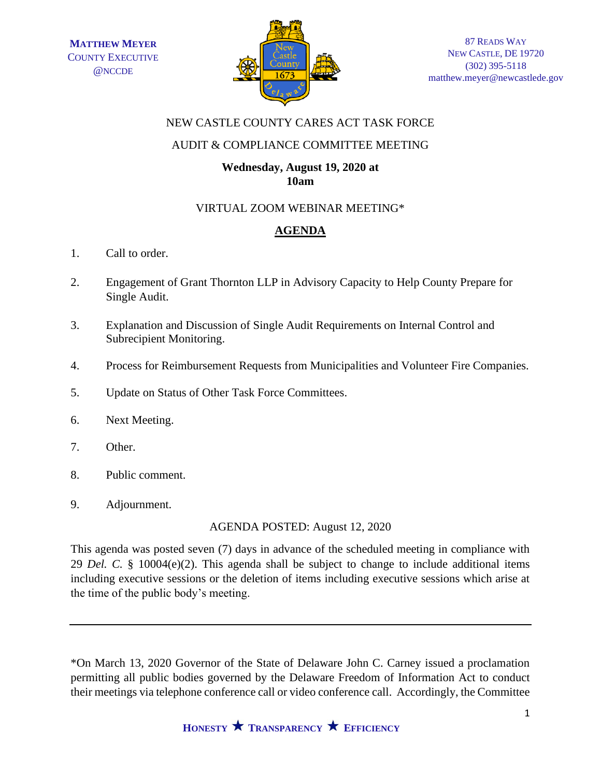

## NEW CASTLE COUNTY CARES ACT TASK FORCE

## AUDIT & COMPLIANCE COMMITTEE MEETING

#### **Wednesday, August 19, 2020 at 10am**

### VIRTUAL ZOOM WEBINAR MEETING\*

# **AGENDA**

- 1. Call to order.
- 2. Engagement of Grant Thornton LLP in Advisory Capacity to Help County Prepare for Single Audit.
- 3. Explanation and Discussion of Single Audit Requirements on Internal Control and Subrecipient Monitoring.
- 4. Process for Reimbursement Requests from Municipalities and Volunteer Fire Companies.
- 5. Update on Status of Other Task Force Committees.
- 6. Next Meeting.
- 7. Other.
- 8. Public comment.
- 9. Adjournment.

AGENDA POSTED: August 12, 2020

This agenda was posted seven (7) days in advance of the scheduled meeting in compliance with 29 *Del. C.* § 10004(e)(2). This agenda shall be subject to change to include additional items including executive sessions or the deletion of items including executive sessions which arise at the time of the public body's meeting.

\*On March 13, 2020 Governor of the State of Delaware John C. Carney issued a proclamation permitting all public bodies governed by the Delaware Freedom of Information Act to conduct their meetings via telephone conference call or video conference call. Accordingly, the Committee